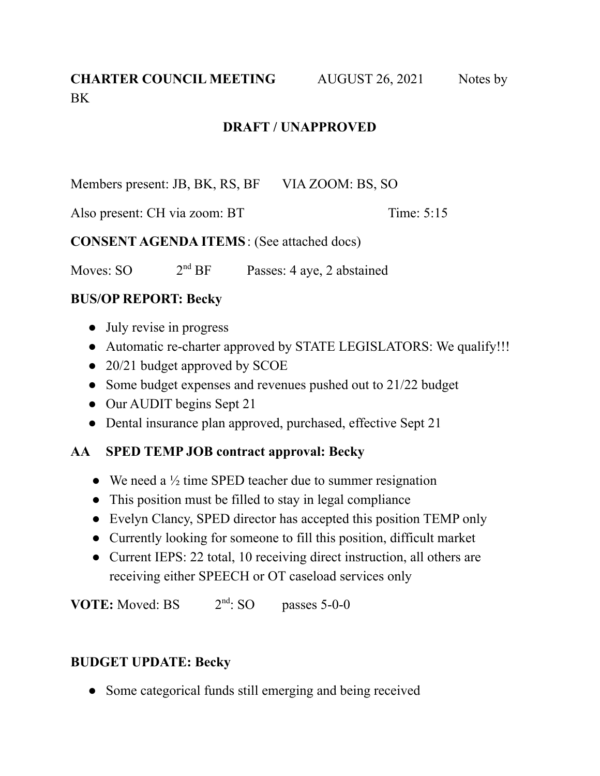# **CHARTER COUNCIL MEETING** AUGUST 26, 2021 Notes by **BK**

#### **DRAFT / UNAPPROVED**

Members present: JB, BK, RS, BF VIA ZOOM: BS, SO

Also present: CH via zoom: BT Time: 5:15

**CONSENT AGENDA ITEMS**: (See attached docs)

Moves:  $SO$   $2<sup>nd</sup> BF$ Passes: 4 aye, 2 abstained

### **BUS/OP REPORT: Becky**

- **●** July revise in progress
- **●** Automatic re-charter approved by STATE LEGISLATORS: We qualify!!!
- **●** 20/21 budget approved by SCOE
- **●** Some budget expenses and revenues pushed out to 21/22 budget
- **●** Our AUDIT begins Sept 21
- **●** Dental insurance plan approved, purchased, effective Sept 21

## **AA SPED TEMP JOB contract approval: Becky**

- **●** We need a ½ time SPED teacher due to summer resignation
- **●** This position must be filled to stay in legal compliance
- **●** Evelyn Clancy, SPED director has accepted this position TEMP only
- **●** Currently looking for someone to fill this position, difficult market
- **●** Current IEPS: 22 total, 10 receiving direct instruction, all others are receiving either SPEECH or OT caseload services only

**VOTE:** Moved: BS  $2<sup>nd</sup>$ : SO  $passes 5-0-0$ 

#### **BUDGET UPDATE: Becky**

• Some categorical funds still emerging and being received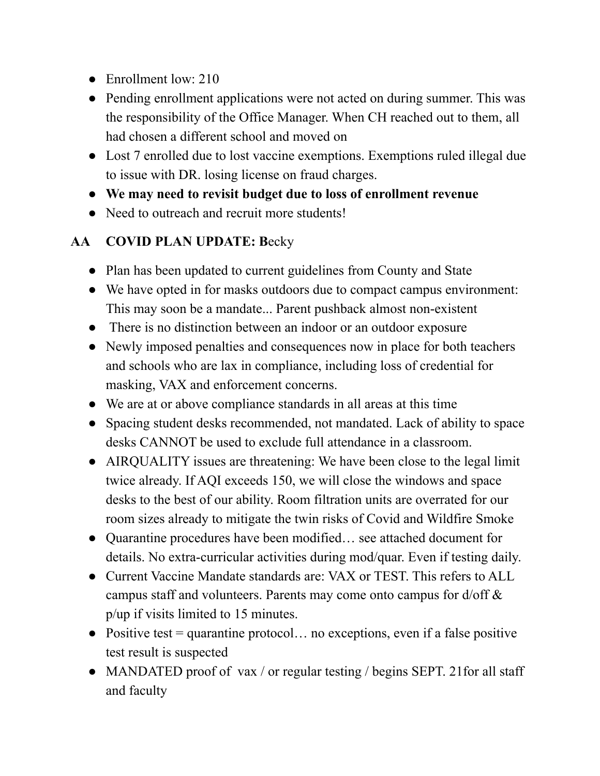- Enrollment low: 210
- Pending enrollment applications were not acted on during summer. This was the responsibility of the Office Manager. When CH reached out to them, all had chosen a different school and moved on
- Lost 7 enrolled due to lost vaccine exemptions. Exemptions ruled illegal due to issue with DR. losing license on fraud charges.
- **We may need to revisit budget due to loss of enrollment revenue**
- Need to outreach and recruit more students!

## **AA COVID PLAN UPDATE: B**ecky

- Plan has been updated to current guidelines from County and State
- We have opted in for masks outdoors due to compact campus environment: This may soon be a mandate... Parent pushback almost non-existent
- There is no distinction between an indoor or an outdoor exposure
- Newly imposed penalties and consequences now in place for both teachers and schools who are lax in compliance, including loss of credential for masking, VAX and enforcement concerns.
- We are at or above compliance standards in all areas at this time
- Spacing student desks recommended, not mandated. Lack of ability to space desks CANNOT be used to exclude full attendance in a classroom.
- AIRQUALITY issues are threatening: We have been close to the legal limit twice already. If AQI exceeds 150, we will close the windows and space desks to the best of our ability. Room filtration units are overrated for our room sizes already to mitigate the twin risks of Covid and Wildfire Smoke
- Quarantine procedures have been modified… see attached document for details. No extra-curricular activities during mod/quar. Even if testing daily.
- Current Vaccine Mandate standards are: VAX or TEST. This refers to ALL campus staff and volunteers. Parents may come onto campus for d/off & p/up if visits limited to 15 minutes.
- $\bullet$  Positive test = quarantine protocol... no exceptions, even if a false positive test result is suspected
- MANDATED proof of vax / or regular testing / begins SEPT. 21 for all staff and faculty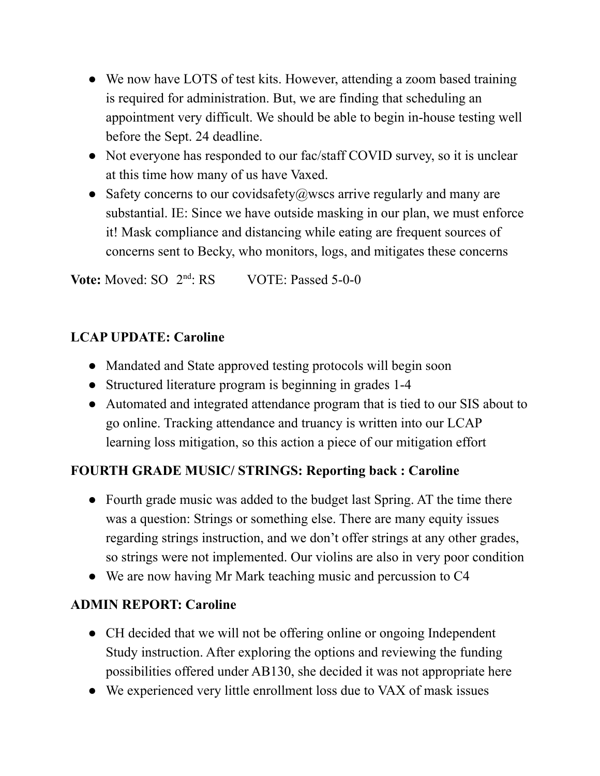- We now have LOTS of test kits. However, attending a zoom based training is required for administration. But, we are finding that scheduling an appointment very difficult. We should be able to begin in-house testing well before the Sept. 24 deadline.
- Not everyone has responded to our fac/staff COVID survey, so it is unclear at this time how many of us have Vaxed.
- Safety concerns to our covidsafety  $(a)$  wscs arrive regularly and many are substantial. IE: Since we have outside masking in our plan, we must enforce it! Mask compliance and distancing while eating are frequent sources of concerns sent to Becky, who monitors, logs, and mitigates these concerns

Vote: Moved: SO 2<sup>nd</sup>  $VOTE:$  Passed 5-0-0

# **LCAP UPDATE: Caroline**

- **●** Mandated and State approved testing protocols will begin soon
- **●** Structured literature program is beginning in grades 1-4
- **●** Automated and integrated attendance program that is tied to our SIS about to go online. Tracking attendance and truancy is written into our LCAP learning loss mitigation, so this action a piece of our mitigation effort

# **FOURTH GRADE MUSIC/ STRINGS: Reporting back : Caroline**

- **●** Fourth grade music was added to the budget last Spring. AT the time there was a question: Strings or something else. There are many equity issues regarding strings instruction, and we don't offer strings at any other grades, so strings were not implemented. Our violins are also in very poor condition
- **●** We are now having Mr Mark teaching music and percussion to C4

## **ADMIN REPORT: Caroline**

- **●** CH decided that we will not be offering online or ongoing Independent Study instruction. After exploring the options and reviewing the funding possibilities offered under AB130, she decided it was not appropriate here
- **●** We experienced very little enrollment loss due to VAX of mask issues